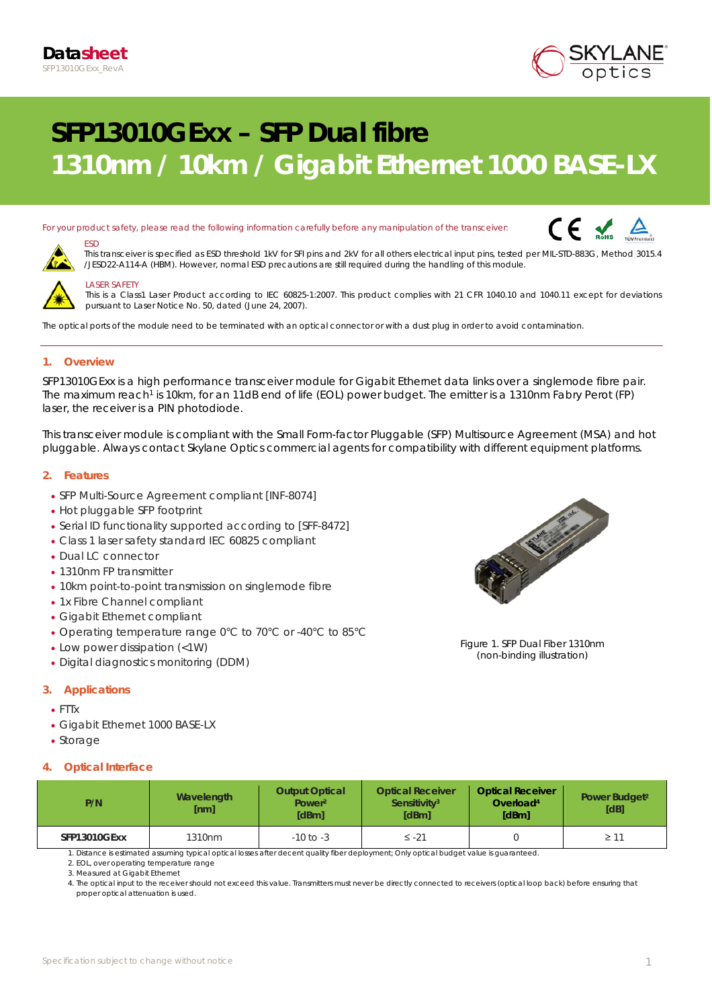

# **SFP13010GExx – SFP Dual fibre 1310nm / 10km / Gigabit Ethernet 1000 BASE-LX**

For your product safety, please read the following information carefully before any manipulation of the transceiver:





# *LASER SAFETY*

*ESD* 

*This is a Class1 Laser Product according to IEC 60825-1:2007. This product complies with 21 CFR 1040.10 and 1040.11 except for deviations pursuant to Laser Notice No. 50, dated (June 24, 2007).*

*This transceiver is specified as ESD threshold 1kV for SFI pins and 2kV for all others electrical input pins, tested per MIL-STD-883G, Method 3015.4* 

*The optical ports of the module need to be terminated with an optical connector or with a dust plug in order to avoid contamination.*

*/JESD22-A114-A (HBM). However, normal ESD precautions are still required during the handling of this module.* 

### **1. Overview**

SFP13010GExx is a high performance transceiver module for Gigabit Ethernet data links over a singlemode fibre pair. The maximum reach<sup>1</sup> is 10km, for an 11dB end of life (EOL) power budget. The emitter is a 1310nm Fabry Perot (FP) laser, the receiver is a PIN photodiode.

This transceiver module is compliant with the Small Form-factor Pluggable (SFP) Multisource Agreement (MSA) and hot pluggable. Always contact Skylane Optics commercial agents for compatibility with different equipment platforms.

#### **2. Features**

- SFP Multi-Source Agreement compliant *[INF-8074]*
- Hot pluggable SFP footprint
- Serial ID functionality supported according to [SFF-8472]
- Class 1 laser safety standard IEC 60825 compliant
- Dual LC connector
- 1310nm FP transmitter
- 10km point-to-point transmission on singlemode fibre
- 1x Fibre Channel compliant
- Gigabit Ethernet compliant
- Operating temperature range 0°C to 70°C or -40°C to 85°C
- Low power dissipation (<1W)
- Digital diagnostics monitoring (DDM)

### **3. Applications**

- FTTx
- Gigabit Ethernet 1000 BASE-LX
- Storage

### **4. Optical Interface**

| P/N                 | Wavelength<br>[nm] | <b>Output Optical</b><br>Power <sup>2</sup><br>[dBm] | <b>Optical Receiver</b><br>Sensitivity <sup>3</sup><br><b>IdBml</b> | <b>Optical Receiver</b><br>Overload <sup>4</sup><br>[dBm] | Power Budget <sup>2</sup><br>[dB] |
|---------------------|--------------------|------------------------------------------------------|---------------------------------------------------------------------|-----------------------------------------------------------|-----------------------------------|
| <b>SFP13010GExx</b> | 1310 <sub>nm</sub> | $-10$ to $-3$                                        | $\leq$ -21                                                          |                                                           | $\geq 11$                         |

1. Distance is estimated assuming typical optical losses after decent quality fiber deployment; Only optical budget value is guaranteed.

2. EOL, over operating temperature range

3. Measured at Gigabit Ethernet

4. The optical input to the receiver should not exceed this value. Transmitters must never be directly connected to receivers (optical loop back) before ensuring that proper optical attenuation is used.



Figure 1. SFP Dual Fiber 1310nm (non-binding illustration)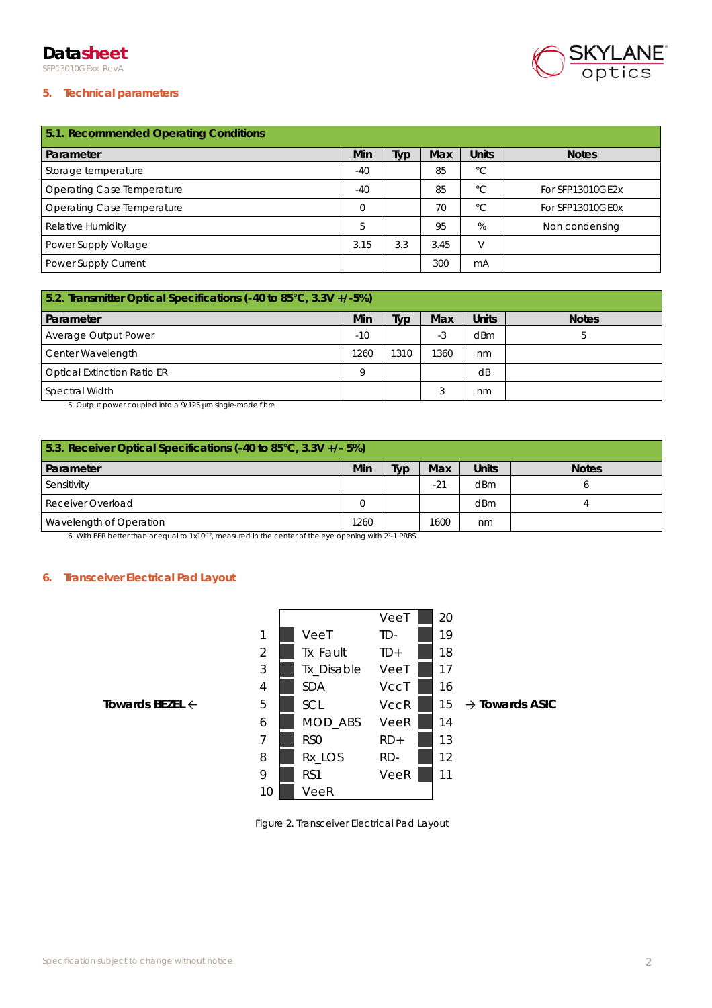# **Datasheet**

SFP13010GExx\_RevA



## **5. Technical parameters**

| 5.1. Recommended Operating Conditions |          |     |      |              |                  |  |
|---------------------------------------|----------|-----|------|--------------|------------------|--|
| Parameter                             | Min      | iyp | Max  | <b>Units</b> | <b>Notes</b>     |  |
| Storage temperature                   | $-40$    |     | 85   | $^{\circ}C$  |                  |  |
| Operating Case Temperature            | $-40$    |     | 85   | $^{\circ}$ C | For SFP13010GE2x |  |
| Operating Case Temperature            | $\Omega$ |     | 70   | $^{\circ}$ C | For SFP13010GE0x |  |
| Relative Humidity                     | 5        |     | 95   | %            | Non condensing   |  |
| Power Supply Voltage                  | 3.15     | 3.3 | 3.45 |              |                  |  |
| Power Supply Current                  |          |     | 300  | mA           |                  |  |

| 5.2. Transmitter Optical Specifications (-40 to 85°C, 3.3V +/-5%) |       |      |      |              |              |  |
|-------------------------------------------------------------------|-------|------|------|--------------|--------------|--|
| Parameter                                                         | Min   | iyp  | Max  | <b>Units</b> | <b>Notes</b> |  |
| Average Output Power                                              | $-10$ |      | -3   | dBm          |              |  |
| Center Wavelength                                                 | 1260  | 1310 | 1360 | nm           |              |  |
| <b>Optical Extinction Ratio ER</b>                                | Q     |      |      | dB           |              |  |
| Spectral Width                                                    |       |      |      | nm           |              |  |

5. Output power coupled into a 9/125 µm single-mode fibre

| 5.3. Receiver Optical Specifications (-40 to 85°C, 3.3V +/- 5%) |      |     |       |              |              |  |
|-----------------------------------------------------------------|------|-----|-------|--------------|--------------|--|
| <b>Parameter</b>                                                | Min  | Typ | Max   | <b>Units</b> | <b>Notes</b> |  |
| Sensitivity                                                     |      |     | $-21$ | dBm          |              |  |
| Receiver Overload                                               |      |     |       | dBm          |              |  |
| Wavelength of Operation                                         | 1260 |     | 1600  | nm           |              |  |

6. With BER better than or equal to 1x10-12, measured in the center of the eye opening with 27-1 PRBS

### **6. Transceiver Electrical Pad Layout**

|                            |    |                 | VeeT        | 20 |                            |
|----------------------------|----|-----------------|-------------|----|----------------------------|
|                            | 1  | VeeT            | TD-         | 19 |                            |
|                            | 2  | Tx_Fault        | $TD+$       | 18 |                            |
|                            | 3  | Tx_Disable      | VeeT        | 17 |                            |
|                            | 4  | <b>SDA</b>      | VccT        | 16 |                            |
| Towards BEZEL $\leftarrow$ | 5  | SCL             | <b>VccR</b> | 15 | $\rightarrow$ Towards ASIC |
|                            | 6  | MOD_ABS         | VeeR        | 14 |                            |
|                            | 7  | RS <sub>0</sub> | $RD+$       | 13 |                            |
|                            | 8  | Rx_LOS          | RD-         | 12 |                            |
|                            | 9  | RS1             | VeeR        | 11 |                            |
|                            | 10 | VeeR            |             |    |                            |

Figure 2. Transceiver Electrical Pad Layout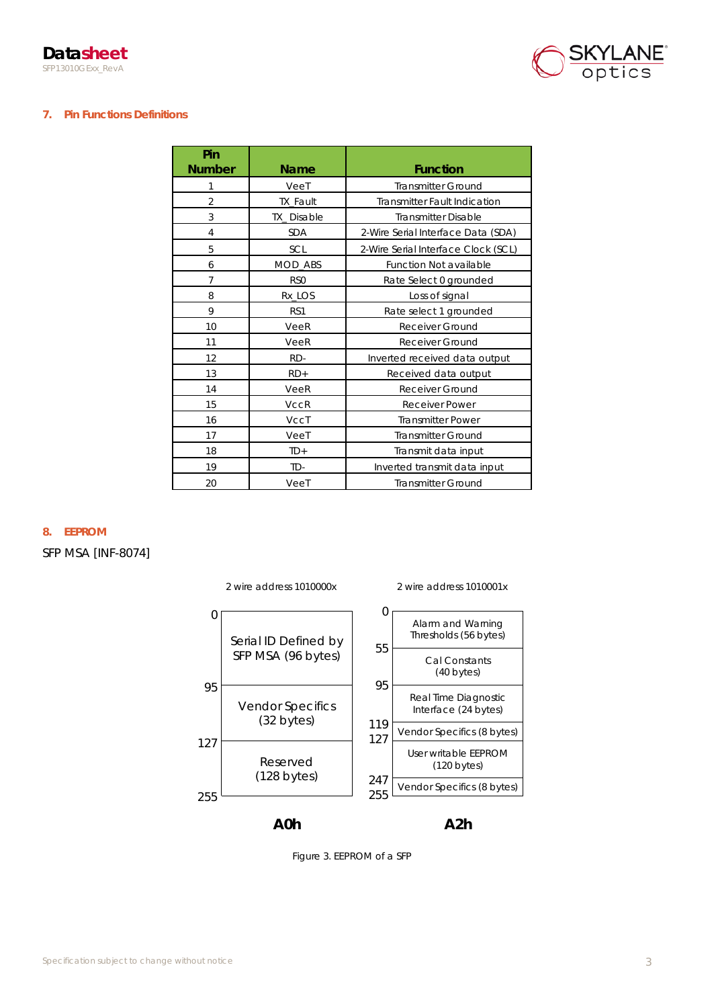

# **7. Pin Functions Definitions**

| Pin<br><b>Number</b> | <b>Name</b>       | <b>Function</b>                     |
|----------------------|-------------------|-------------------------------------|
| 1                    | VeeT              | <b>Transmitter Ground</b>           |
| $\overline{2}$       | <b>TX Fault</b>   | <b>Transmitter Fault Indication</b> |
| 3                    | <b>TX Disable</b> | <b>Transmitter Disable</b>          |
| 4                    | <b>SDA</b>        | 2-Wire Serial Interface Data (SDA)  |
| 5                    | SCL               | 2-Wire Serial Interface Clock (SCL) |
| 6                    | <b>MOD ABS</b>    | Function Not available              |
| $\overline{7}$       | RS <sub>0</sub>   | Rate Select 0 grounded              |
| 8                    | Rx_LOS            | Loss of signal                      |
| 9                    | RS1               | Rate select 1 grounded              |
| 10                   | VeeR              | Receiver Ground                     |
| 11                   | VeeR              | <b>Receiver Ground</b>              |
| 12                   | RD-               | Inverted received data output       |
| 13                   | $RD+$             | Received data output                |
| 14                   | VeeR              | Receiver Ground                     |
| 15                   | <b>VccR</b>       | <b>Receiver Power</b>               |
| 16                   | VccT              | <b>Transmitter Power</b>            |
| 17                   | VeeT              | <b>Transmitter Ground</b>           |
| 18                   | $TD+$             | Transmit data input                 |
| 19                   | TD-               | Inverted transmit data input        |
| 20                   | VeeT              | <b>Transmitter Ground</b>           |

**8. EEPROM**

SFP MSA [INF-8074]



Figure 3. EEPROM of a SFP